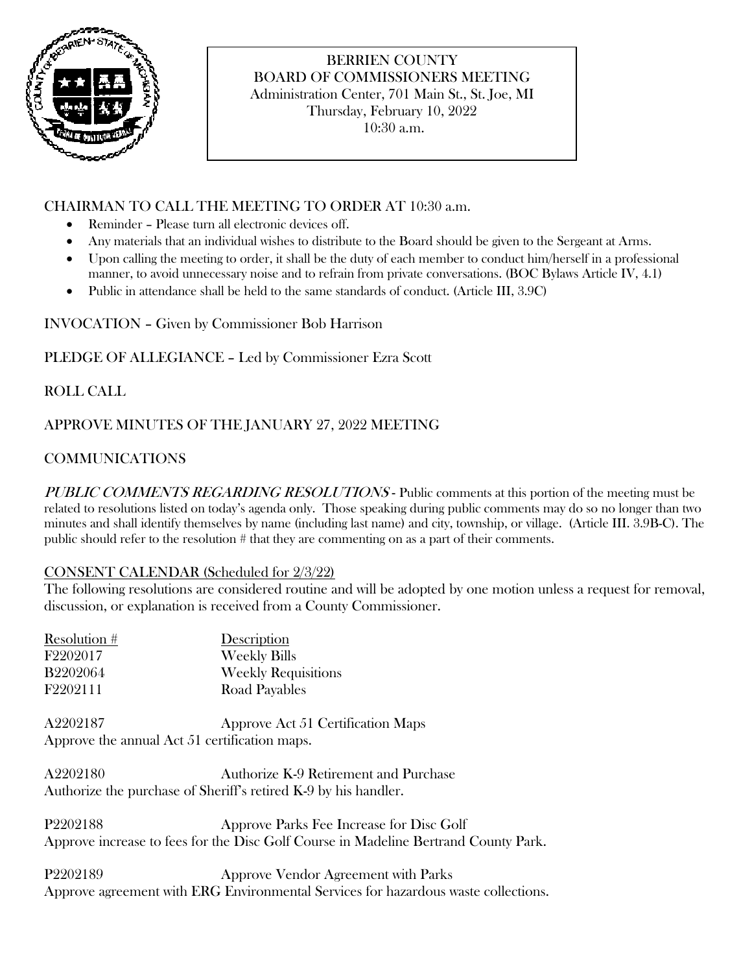

# BERRIEN COUNTY BOARD OF COMMISSIONERS MEETING Administration Center, 701 Main St., St. Joe, MI Thursday, February 10, 2022

10:30 a.m.

## CHAIRMAN TO CALL THE MEETING TO ORDER AT 10:30 a.m.

- Reminder Please turn all electronic devices off.
- Any materials that an individual wishes to distribute to the Board should be given to the Sergeant at Arms.
- Upon calling the meeting to order, it shall be the duty of each member to conduct him/herself in a professional manner, to avoid unnecessary noise and to refrain from private conversations. (BOC Bylaws Article IV, 4.1)
- Public in attendance shall be held to the same standards of conduct. (Article III, 3.9C)

INVOCATION – Given by Commissioner Bob Harrison

PLEDGE OF ALLEGIANCE – Led by Commissioner Ezra Scott

ROLL CALL

## APPROVE MINUTES OF THE JANUARY 27, 2022 MEETING

# COMMUNICATIONS

PUBLIC COMMENTS REGARDING RESOLUTIONS - Public comments at this portion of the meeting must be related to resolutions listed on today's agenda only. Those speaking during public comments may do so no longer than two minutes and shall identify themselves by name (including last name) and city, township, or village. (Article III. 3.9B-C). The public should refer to the resolution # that they are commenting on as a part of their comments.

### CONSENT CALENDAR (Scheduled for 2/3/22)

The following resolutions are considered routine and will be adopted by one motion unless a request for removal, discussion, or explanation is received from a County Commissioner.

| Resolution #    | Description                |
|-----------------|----------------------------|
| F2202017        | <b>Weekly Bills</b>        |
| <b>B2202064</b> | <b>Weekly Requisitions</b> |
| F2202111        | Road Payables              |
|                 |                            |

A2202187 Approve Act 51 Certification Maps Approve the annual Act 51 certification maps.

A2202180 Authorize K-9 Retirement and Purchase Authorize the purchase of Sheriff's retired K-9 by his handler.

P2202188 Approve Parks Fee Increase for Disc Golf Approve increase to fees for the Disc Golf Course in Madeline Bertrand County Park.

P2202189 Approve Vendor Agreement with Parks Approve agreement with ERG Environmental Services for hazardous waste collections.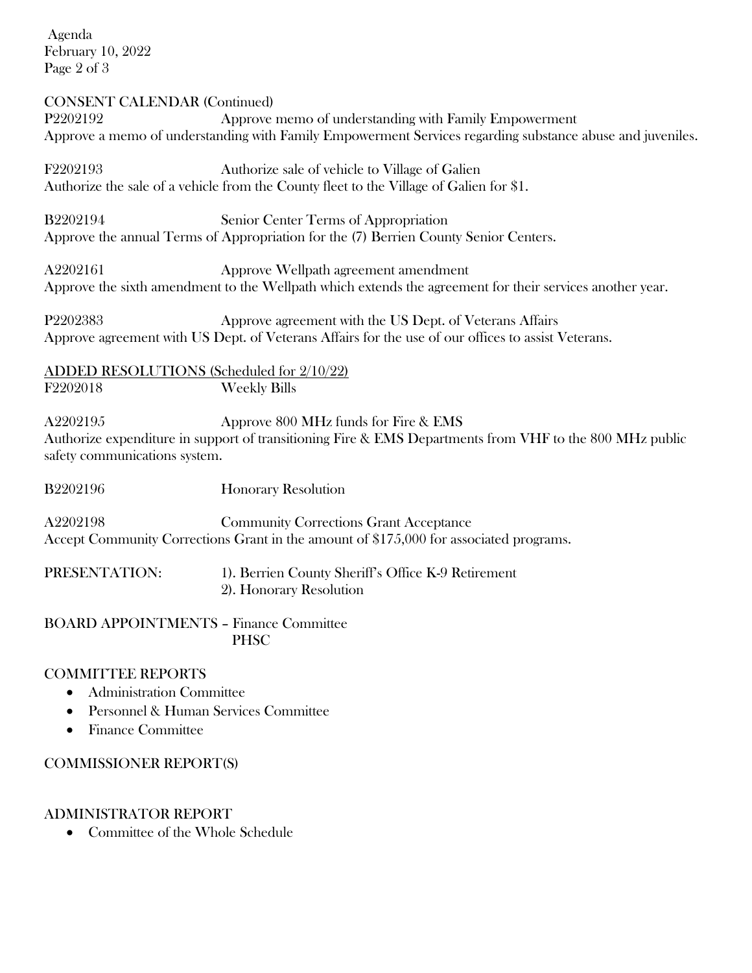Agenda February 10, 2022 Page 2 of 3

#### CONSENT CALENDAR (Continued)

P2202192 Approve memo of understanding with Family Empowerment Approve a memo of understanding with Family Empowerment Services regarding substance abuse and juveniles.

F2202193 Authorize sale of vehicle to Village of Galien Authorize the sale of a vehicle from the County fleet to the Village of Galien for \$1.

B2202194 Senior Center Terms of Appropriation Approve the annual Terms of Appropriation for the (7) Berrien County Senior Centers.

A2202161 Approve Wellpath agreement amendment Approve the sixth amendment to the Wellpath which extends the agreement for their services another year.

P2202383 Approve agreement with the US Dept. of Veterans Affairs Approve agreement with US Dept. of Veterans Affairs for the use of our offices to assist Veterans.

ADDED RESOLUTIONS (Scheduled for 2/10/22) F2202018 Weekly Bills

A2202195 Approve 800 MHz funds for Fire & EMS Authorize expenditure in support of transitioning Fire & EMS Departments from VHF to the 800 MHz public safety communications system.

B2202196 Honorary Resolution

A2202198 Community Corrections Grant Acceptance Accept Community Corrections Grant in the amount of \$175,000 for associated programs.

PRESENTATION: 1). Berrien County Sheriff's Office K-9 Retirement 2). Honorary Resolution

BOARD APPOINTMENTS – Finance Committee PHSC

#### COMMITTEE REPORTS

- Administration Committee
- Personnel & Human Services Committee
- Finance Committee

#### COMMISSIONER REPORT(S)

#### ADMINISTRATOR REPORT

• Committee of the Whole Schedule